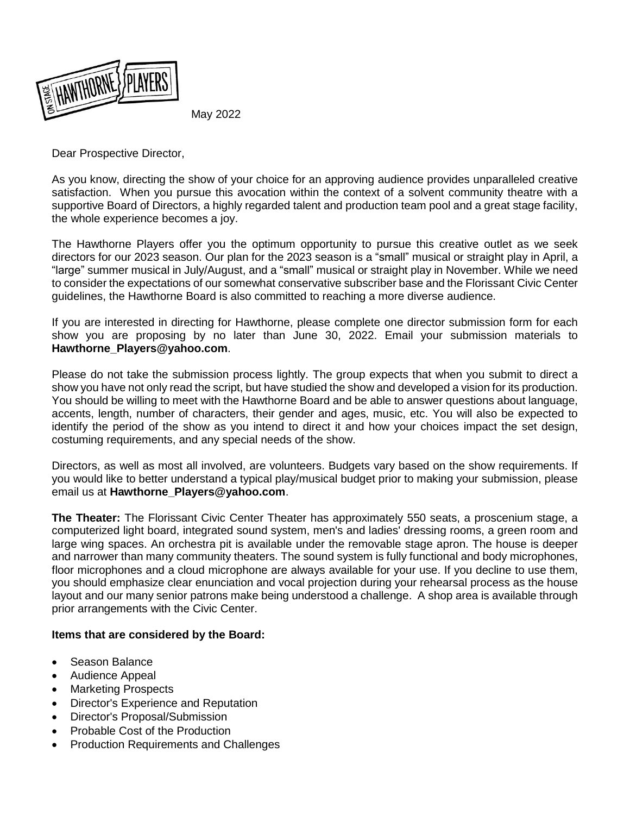

May 2022

Dear Prospective Director,

As you know, directing the show of your choice for an approving audience provides unparalleled creative satisfaction. When you pursue this avocation within the context of a solvent community theatre with a supportive Board of Directors, a highly regarded talent and production team pool and a great stage facility, the whole experience becomes a joy.

The Hawthorne Players offer you the optimum opportunity to pursue this creative outlet as we seek directors for our 2023 season. Our plan for the 2023 season is a "small" musical or straight play in April, a "large" summer musical in July/August, and a "small" musical or straight play in November. While we need to consider the expectations of our somewhat conservative subscriber base and the Florissant Civic Center guidelines, the Hawthorne Board is also committed to reaching a more diverse audience.

If you are interested in directing for Hawthorne, please complete one director submission form for each show you are proposing by no later than June 30, 2022. Email your submission materials to **[Hawthorne\\_Players@yahoo.com](mailto:Hawthorne_Players@yahoo.com)**.

Please do not take the submission process lightly. The group expects that when you submit to direct a show you have not only read the script, but have studied the show and developed a vision for its production. You should be willing to meet with the Hawthorne Board and be able to answer questions about language, accents, length, number of characters, their gender and ages, music, etc. You will also be expected to identify the period of the show as you intend to direct it and how your choices impact the set design, costuming requirements, and any special needs of the show.

Directors, as well as most all involved, are volunteers. Budgets vary based on the show requirements. If you would like to better understand a typical play/musical budget prior to making your submission, please email us at **[Hawthorne\\_Players@yahoo.com](mailto:Hawthorne_Players@yahoo.com)**.

**The Theater:** The Florissant Civic Center Theater has approximately 550 seats, a proscenium stage, a computerized light board, integrated sound system, men's and ladies' dressing rooms, a green room and large wing spaces. An orchestra pit is available under the removable stage apron. The house is deeper and narrower than many community theaters. The sound system is fully functional and body microphones, floor microphones and a cloud microphone are always available for your use. If you decline to use them, you should emphasize clear enunciation and vocal projection during your rehearsal process as the house layout and our many senior patrons make being understood a challenge. A shop area is available through prior arrangements with the Civic Center.

## **Items that are considered by the Board:**

- Season Balance
- Audience Appeal
- Marketing Prospects
- Director's Experience and Reputation
- Director's Proposal/Submission
- Probable Cost of the Production
- Production Requirements and Challenges